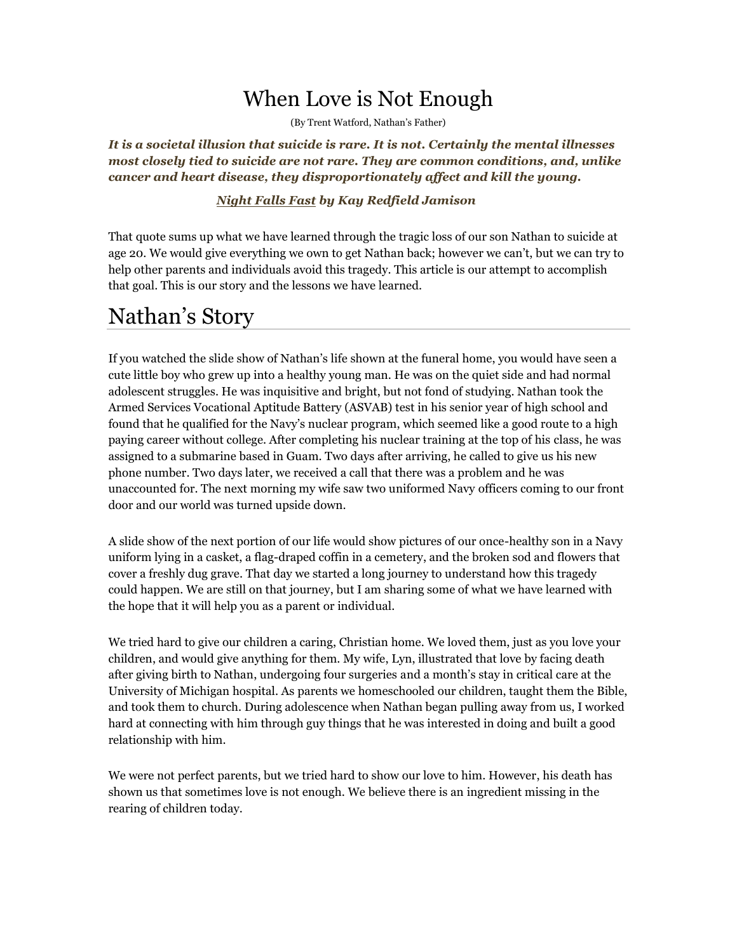## When Love is Not Enough

(By Trent Watford, Nathan's Father)

*It is a societal illusion that suicide is rare. It is not. Certainly the mental illnesses most closely tied to suicide are not rare. They are common conditions, and, unlike cancer and heart disease, they disproportionately affect and kill the young.*

#### *Night Falls Fast by Kay Redfield Jamison*

That quote sums up what we have learned through the tragic loss of our son Nathan to suicide at age 20. We would give everything we own to get Nathan back; however we can't, but we can try to help other parents and individuals avoid this tragedy. This article is our attempt to accomplish that goal. This is our story and the lessons we have learned.

### Nathan's Story

If you watched the slide show of Nathan's life shown at the funeral home, you would have seen a cute little boy who grew up into a healthy young man. He was on the quiet side and had normal adolescent struggles. He was inquisitive and bright, but not fond of studying. Nathan took the Armed Services Vocational Aptitude Battery (ASVAB) test in his senior year of high school and found that he qualified for the Navy's nuclear program, which seemed like a good route to a high paying career without college. After completing his nuclear training at the top of his class, he was assigned to a submarine based in Guam. Two days after arriving, he called to give us his new phone number. Two days later, we received a call that there was a problem and he was unaccounted for. The next morning my wife saw two uniformed Navy officers coming to our front door and our world was turned upside down.

A slide show of the next portion of our life would show pictures of our once-healthy son in a Navy uniform lying in a casket, a flag-draped coffin in a cemetery, and the broken sod and flowers that cover a freshly dug grave. That day we started a long journey to understand how this tragedy could happen. We are still on that journey, but I am sharing some of what we have learned with the hope that it will help you as a parent or individual.

We tried hard to give our children a caring, Christian home. We loved them, just as you love your children, and would give anything for them. My wife, Lyn, illustrated that love by facing death after giving birth to Nathan, undergoing four surgeries and a month's stay in critical care at the University of Michigan hospital. As parents we homeschooled our children, taught them the Bible, and took them to church. During adolescence when Nathan began pulling away from us, I worked hard at connecting with him through guy things that he was interested in doing and built a good relationship with him.

We were not perfect parents, but we tried hard to show our love to him. However, his death has shown us that sometimes love is not enough. We believe there is an ingredient missing in the rearing of children today.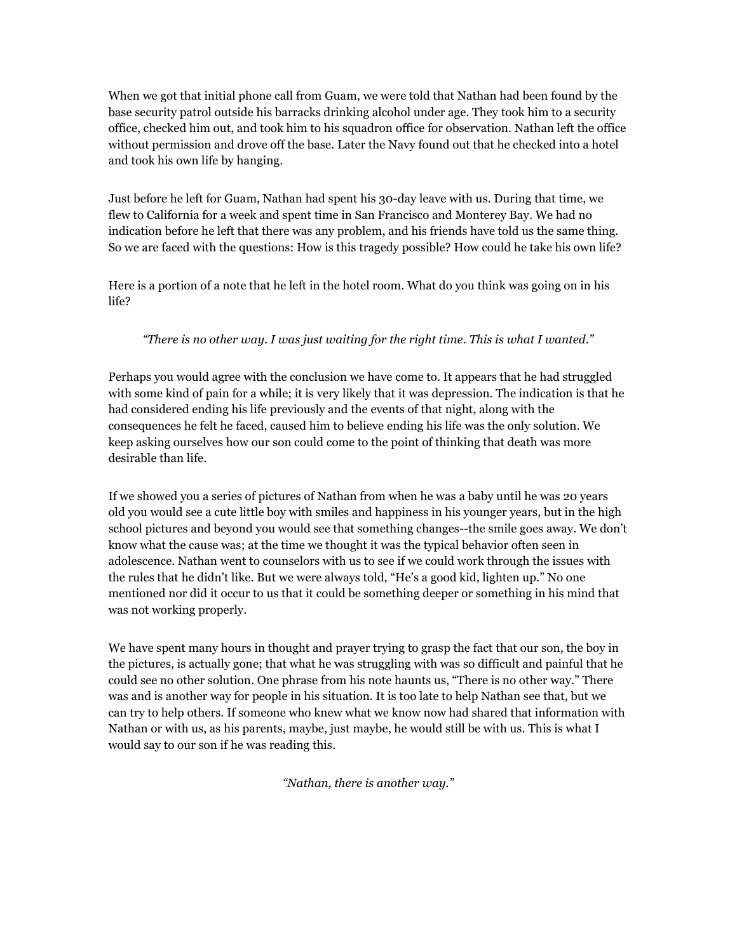When we got that initial phone call from Guam, we were told that Nathan had been found by the base security patrol outside his barracks drinking alcohol under age. They took him to a security office, checked him out, and took him to his squadron office for observation. Nathan left the office without permission and drove off the base. Later the Navy found out that he checked into a hotel and took his own life by hanging.

Just before he left for Guam, Nathan had spent his 30-day leave with us. During that time, we flew to California for a week and spent time in San Francisco and Monterey Bay. We had no indication before he left that there was any problem, and his friends have told us the same thing. So we are faced with the questions: How is this tragedy possible? How could he take his own life?

Here is a portion of a note that he left in the hotel room. What do you think was going on in his life?

#### *"There is no other way. I was just waiting for the right time. This is what I wanted."*

Perhaps you would agree with the conclusion we have come to. It appears that he had struggled with some kind of pain for a while; it is very likely that it was depression. The indication is that he had considered ending his life previously and the events of that night, along with the consequences he felt he faced, caused him to believe ending his life was the only solution. We keep asking ourselves how our son could come to the point of thinking that death was more desirable than life.

If we showed you a series of pictures of Nathan from when he was a baby until he was 20 years old you would see a cute little boy with smiles and happiness in his younger years, but in the high school pictures and beyond you would see that something changes--the smile goes away. We don't know what the cause was; at the time we thought it was the typical behavior often seen in adolescence. Nathan went to counselors with us to see if we could work through the issues with the rules that he didn't like. But we were always told, "He's a good kid, lighten up." No one mentioned nor did it occur to us that it could be something deeper or something in his mind that was not working properly.

We have spent many hours in thought and prayer trying to grasp the fact that our son, the boy in the pictures, is actually gone; that what he was struggling with was so difficult and painful that he could see no other solution. One phrase from his note haunts us, "There is no other way." There was and is another way for people in his situation. It is too late to help Nathan see that, but we can try to help others. If someone who knew what we know now had shared that information with Nathan or with us, as his parents, maybe, just maybe, he would still be with us. This is what I would say to our son if he was reading this.

*"Nathan, there is another way."*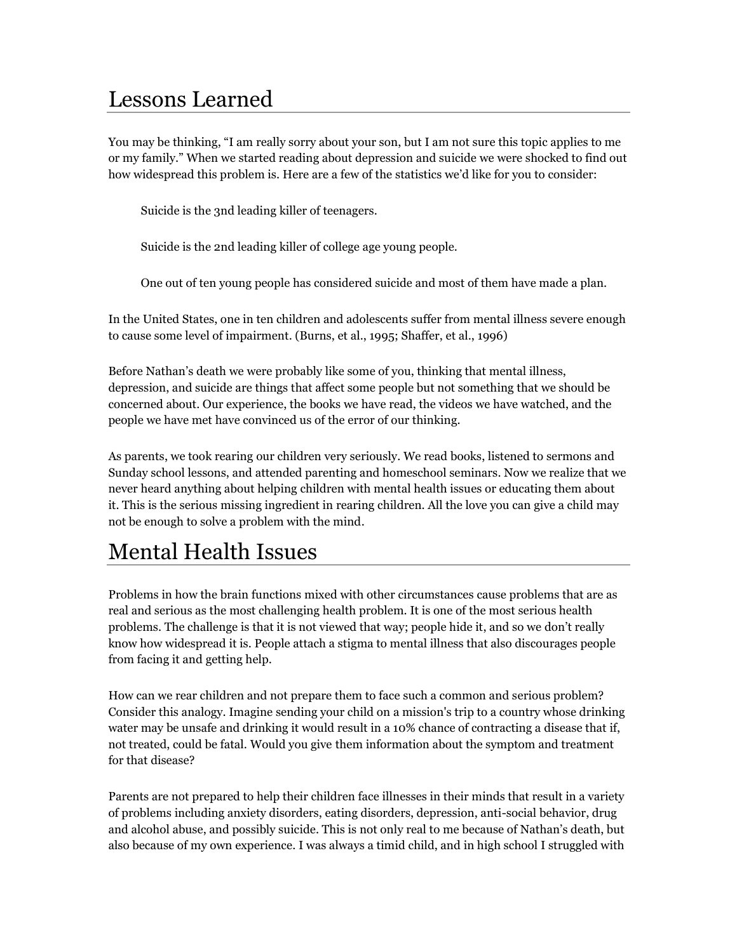## Lessons Learned

You may be thinking, "I am really sorry about your son, but I am not sure this topic applies to me or my family." When we started reading about depression and suicide we were shocked to find out how widespread this problem is. Here are a few of the statistics we'd like for you to consider:

Suicide is the 3nd leading killer of teenagers.

Suicide is the 2nd leading killer of college age young people.

One out of ten young people has considered suicide and most of them have made a plan.

In the United States, one in ten children and adolescents suffer from mental illness severe enough to cause some level of impairment. (Burns, et al., 1995; Shaffer, et al., 1996)

Before Nathan's death we were probably like some of you, thinking that mental illness, depression, and suicide are things that affect some people but not something that we should be concerned about. Our experience, the books we have read, the videos we have watched, and the people we have met have convinced us of the error of our thinking.

As parents, we took rearing our children very seriously. We read books, listened to sermons and Sunday school lessons, and attended parenting and homeschool seminars. Now we realize that we never heard anything about helping children with mental health issues or educating them about it. This is the serious missing ingredient in rearing children. All the love you can give a child may not be enough to solve a problem with the mind.

# Mental Health Issues

Problems in how the brain functions mixed with other circumstances cause problems that are as real and serious as the most challenging health problem. It is one of the most serious health problems. The challenge is that it is not viewed that way; people hide it, and so we don't really know how widespread it is. People attach a stigma to mental illness that also discourages people from facing it and getting help.

How can we rear children and not prepare them to face such a common and serious problem? Consider this analogy. Imagine sending your child on a mission's trip to a country whose drinking water may be unsafe and drinking it would result in a 10% chance of contracting a disease that if, not treated, could be fatal. Would you give them information about the symptom and treatment for that disease?

Parents are not prepared to help their children face illnesses in their minds that result in a variety of problems including anxiety disorders, eating disorders, depression, anti-social behavior, drug and alcohol abuse, and possibly suicide. This is not only real to me because of Nathan's death, but also because of my own experience. I was always a timid child, and in high school I struggled with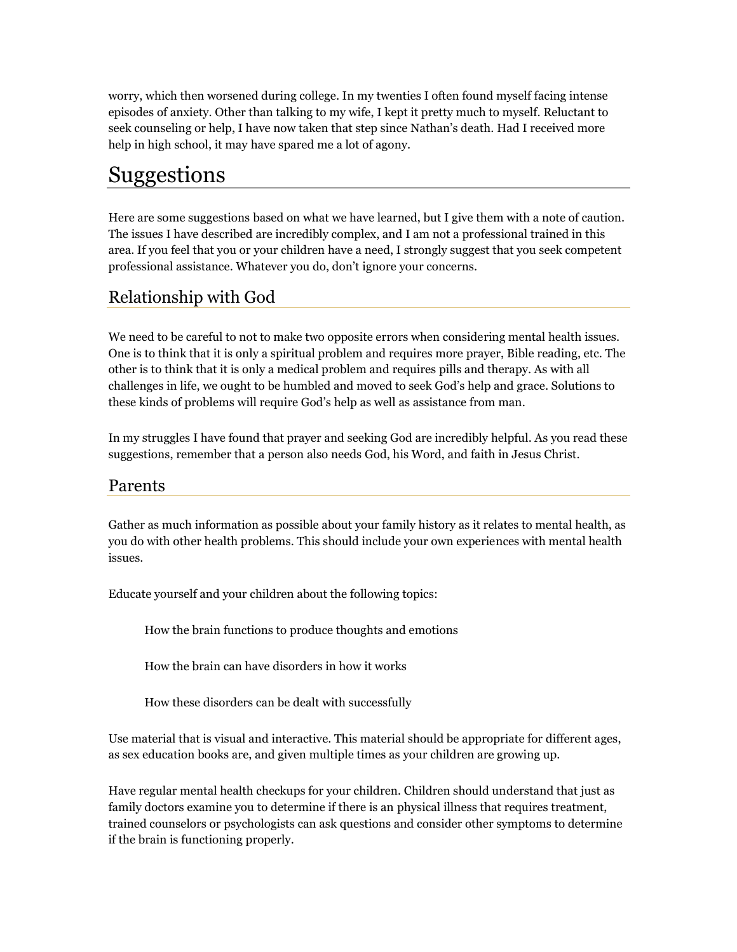worry, which then worsened during college. In my twenties I often found myself facing intense episodes of anxiety. Other than talking to my wife, I kept it pretty much to myself. Reluctant to seek counseling or help, I have now taken that step since Nathan's death. Had I received more help in high school, it may have spared me a lot of agony.

### Suggestions

Here are some suggestions based on what we have learned, but I give them with a note of caution. The issues I have described are incredibly complex, and I am not a professional trained in this area. If you feel that you or your children have a need, I strongly suggest that you seek competent professional assistance. Whatever you do, don't ignore your concerns.

#### Relationship with God

We need to be careful to not to make two opposite errors when considering mental health issues. One is to think that it is only a spiritual problem and requires more prayer, Bible reading, etc. The other is to think that it is only a medical problem and requires pills and therapy. As with all challenges in life, we ought to be humbled and moved to seek God's help and grace. Solutions to these kinds of problems will require God's help as well as assistance from man.

In my struggles I have found that prayer and seeking God are incredibly helpful. As you read these suggestions, remember that a person also needs God, his Word, and faith in Jesus Christ.

#### Parents

Gather as much information as possible about your family history as it relates to mental health, as you do with other health problems. This should include your own experiences with mental health issues.

Educate yourself and your children about the following topics:

How the brain functions to produce thoughts and emotions

How the brain can have disorders in how it works

How these disorders can be dealt with successfully

Use material that is visual and interactive. This material should be appropriate for different ages, as sex education books are, and given multiple times as your children are growing up.

Have regular mental health checkups for your children. Children should understand that just as family doctors examine you to determine if there is an physical illness that requires treatment, trained counselors or psychologists can ask questions and consider other symptoms to determine if the brain is functioning properly.